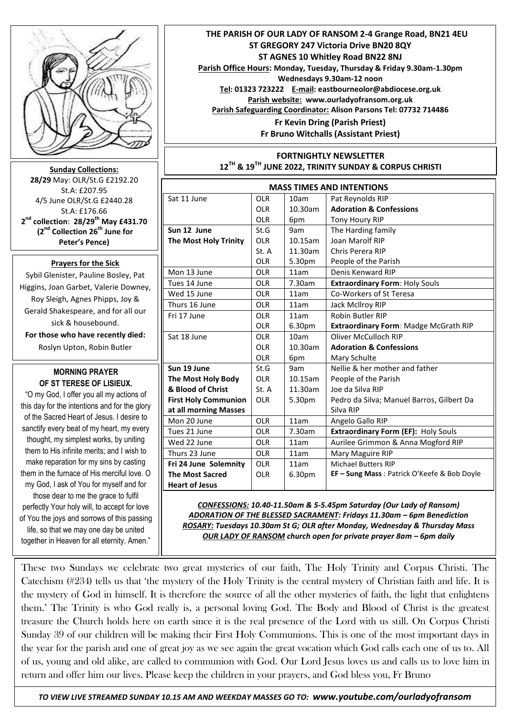

**Sunday Collections: 28/29** May: OLR/St.G £2192.20 St.A: £207.95 4/5 June OLR/St.G £2440.28 St.A: £176.66 **2 nd collection**: **28/29th May £431.70 (2nd Collection 26th June for Peter's Pence)**

## **Prayers for the Sick**

Sybil Glenister, Pauline Bosley, Pat Higgins, Joan Garbet, Valerie Downey, Roy Sleigh, Agnes Phipps, Joy & Gerald Shakespeare, and for all our sick & housebound. **For those who have recently died:**  Roslyn Upton, Robin Butler

## **MORNING PRAYER OF ST TERESE OF LISIEUX.**

"O my God, I offer you all my actions of this day for the intentions and for the glory of the Sacred Heart of Jesus. I desire to sanctify every beat of my heart, my every thought, my simplest works, by uniting them to His infinite merits; and I wish to make reparation for my sins by casting them in the furnace of His merciful love. O my God, I ask of You for myself and for those dear to me the grace to fulfil perfectly Your holy will, to accept for love of You the joys and sorrows of this passing life, so that we may one day be united together in Heaven for all eternity. Amen."

morning of Sunday 19th June 19th June 19th June 19th June 19th June 19th June 19th June 19th June 19th June 19<br>The Sunday 19th June 19th June 19th June 19th June 19th June 19th June 19th June 19th June 19th June 19th June

 **THE PARISH OF OUR LADY OF RANSOM 2-4 Grange Road, BN21 4EU ST GREGORY 247 Victoria Drive BN20 8QY ST AGNES 10 Whitley Road BN22 8NJ Parish Office Hours: Monday, Tuesday, Thursday & Friday 9.30am-1.30pm Wednesdays 9.30am-12 noon Tel: 01323 723222 E-mail: eastbourneolor@abdiocese.org.uk Parish website: [www.ourladyofransom.org.uk](http://www.ourladyofransom.org.uk/) Parish Safeguarding Coordinator: Alison Parsons Tel: 07732 714486 Fr Kevin Dring (Parish Priest) Fr Bruno Witchalls (Assistant Priest)**

## **FORTNIGHTLY NEWSLETTER 12TH & 19TH JUNE 2022, TRINITY SUNDAY & CORPUS CHRISTI**

| <b>MASS TIMES AND INTENTIONS</b> |            |            |                                              |
|----------------------------------|------------|------------|----------------------------------------------|
| Sat 11 June                      | <b>OLR</b> | 10am       | Pat Reynolds RIP                             |
|                                  | <b>OLR</b> | 10.30am    | <b>Adoration &amp; Confessions</b>           |
|                                  | <b>OLR</b> | 6pm        | Tony Houry RIP                               |
| Sun 12 June                      | St.G       | 9am        | The Harding family                           |
| <b>The Most Holy Trinity</b>     | <b>OLR</b> | 10.15am    | Joan Marolf RIP                              |
|                                  | St. A      | 11.30am    | Chris Perera RIP                             |
|                                  | <b>OLR</b> | 5.30pm     | People of the Parish                         |
| Mon 13 June                      | <b>OLR</b> | 11am       | Denis Kenward RIP                            |
| Tues 14 June                     | <b>OLR</b> | 7.30am     | <b>Extraordinary Form: Holy Souls</b>        |
| Wed 15 June                      | <b>OLR</b> | 11am       | Co-Workers of St Teresa                      |
| Thurs 16 June                    | <b>OLR</b> | 11am       | Jack McIlroy RIP                             |
| Fri 17 June                      | <b>OLR</b> | 11am       | Robin Butler RIP                             |
|                                  | <b>OLR</b> | 6.30pm     | <b>Extraordinary Form: Madge McGrath RIP</b> |
| Sat 18 June                      | <b>OLR</b> | 10am       | Oliver McCulloch RIP                         |
|                                  | <b>OLR</b> | 10.30am    | <b>Adoration &amp; Confessions</b>           |
|                                  | <b>OLR</b> | 6pm        | Mary Schulte                                 |
| Sun 19 June                      | St.G       | 9am        | Nellie & her mother and father               |
| <b>The Most Holy Body</b>        | <b>OLR</b> | $10.15$ am | People of the Parish                         |
| & Blood of Christ                | St. A      | 11.30am    | Joe da Silva RIP                             |
| <b>First Holy Communion</b>      | <b>OLR</b> | 5.30pm     | Pedro da Silva; Manuel Barros, Gilbert Da    |
| at all morning Masses            |            |            | Silva RIP                                    |
| Mon 20 June                      | <b>OLR</b> | 11am       | Angelo Gallo RIP                             |
| Tues 21 June                     | <b>OLR</b> | 7.30am     | Extraordinary Form (EF): Holy Souls          |
| Wed 22 June                      | <b>OLR</b> | 11am       | Aurilee Grimmon & Anna Mogford RIP           |
| Thurs 23 June                    | <b>OLR</b> | 11am       | Mary Maguire RIP                             |
| Fri 24 June Solemnity            | <b>OLR</b> | 11am       | <b>Michael Butters RIP</b>                   |
| <b>The Most Sacred</b>           | <b>OLR</b> | 6.30pm     | EF - Sung Mass: Patrick O'Keefe & Bob Doyle  |
| <b>Heart of Jesus</b>            |            |            |                                              |

*CONFESSIONS: 10.40-11.50am & 5-5.45pm Saturday (Our Lady of Ransom) ADORATION OF THE BLESSED SACRAMENT: Fridays 11.30am – 6pm Benediction ROSARY: Tuesdays 10.30am St G; OLR after Monday, Wednesday & Thursday Mass OUR LADY OF RANSOM church open for private prayer 8am – 6pm daily*

the year for the parish and one of great joy as we see again the great vocation which God calls each one of us to. All of us, young and old alike, are called to communion with God. Our Lord Jesus loves us and calls us to love him in return and offer him our lives. Please keep the children in your prayers, and God bless you, Fr Bruno These two Sundays we celebrate two great mysteries of our faith, The Holy Trinity and Corpus Christi. The Catechism (#234) tells us that 'the mystery of the Holy Trinity is the central mystery of Christian faith and life. It is the mystery of God in himself. It is therefore the source of all the other mysteries of faith, the light that enlightens them.' The Trinity is who God really is, a personal loving God. The Body and Blood of Christ is the greatest treasure the Church holds here on earth since it is the real presence of the Lord with us still. On Corpus Christi Sunday 39 of our children will be making their First Holy Communions. This is one of the most important days in

 *TO VIEW LIVE STREAMED SUNDAY 10.15 AM AND WEEKDAY MASSES GO TO: www.youtube.com/ourladyofransom*